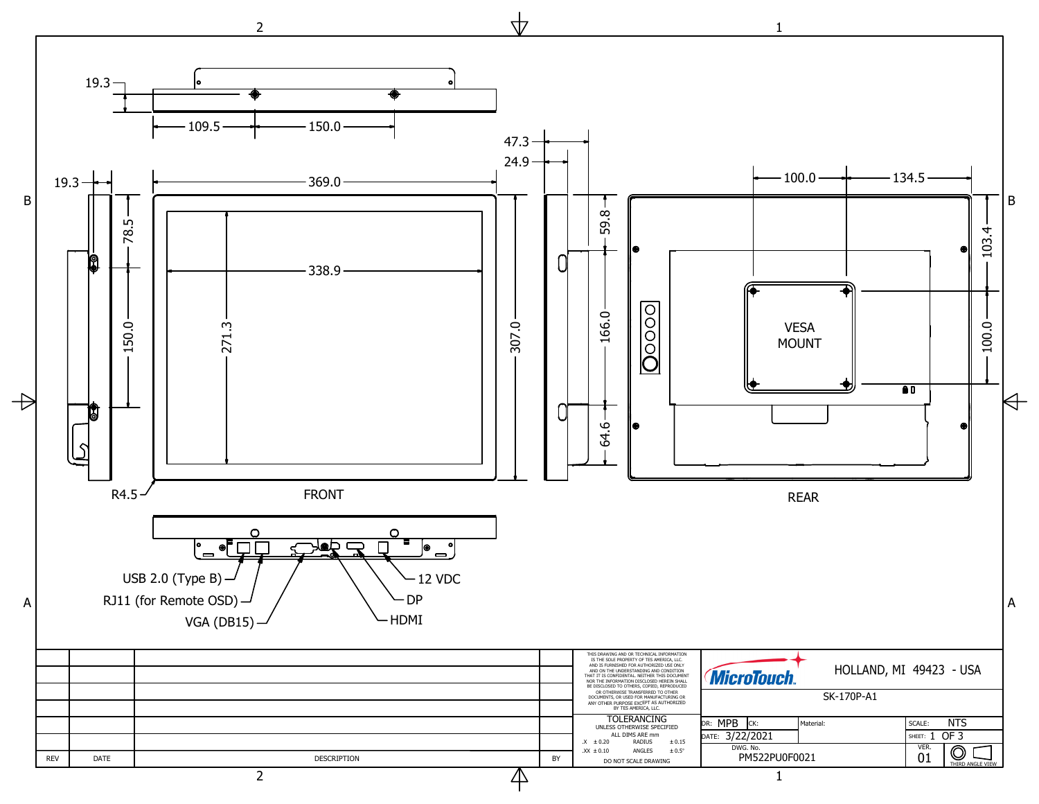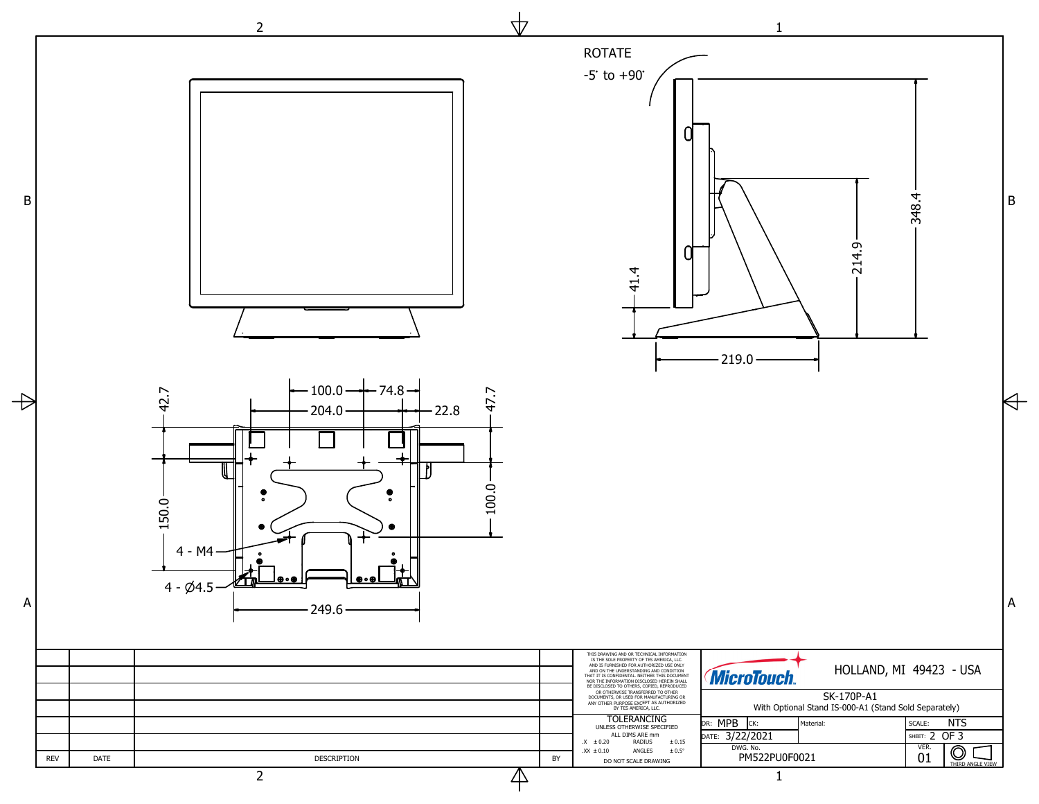